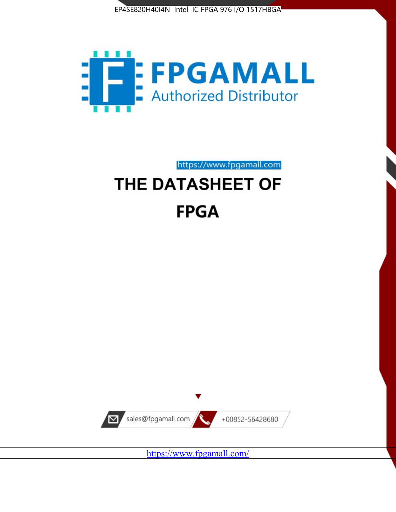



https://www.fpgamall.com

# THE DATASHEET OF **FPGA**



<https://www.fpgamall.com/>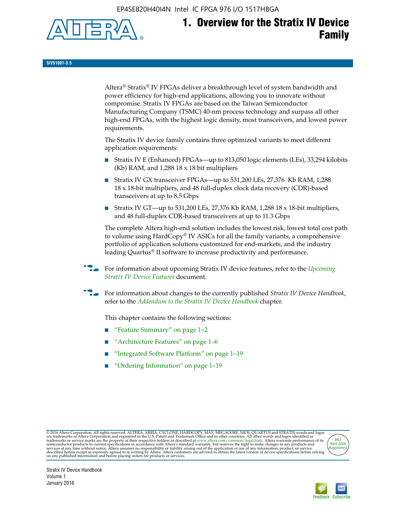EP4SE820H40I4N Intel IC FPGA 976 I/O 1517HBGA



# **1. Overview for the Stratix IV Device Family**

**SIV51001-3.5**

Altera® Stratix® IV FPGAs deliver a breakthrough level of system bandwidth and power efficiency for high-end applications, allowing you to innovate without compromise. Stratix IV FPGAs are based on the Taiwan Semiconductor Manufacturing Company (TSMC) 40-nm process technology and surpass all other high-end FPGAs, with the highest logic density, most transceivers, and lowest power requirements.

The Stratix IV device family contains three optimized variants to meet different application requirements:

- Stratix IV E (Enhanced) FPGAs—up to 813,050 logic elements (LEs), 33,294 kilobits (Kb) RAM, and 1,288 18 x 18 bit multipliers
- Stratix IV GX transceiver FPGAs—up to 531,200 LEs, 27,376 Kb RAM, 1,288 18 x 18-bit multipliers, and 48 full-duplex clock data recovery (CDR)-based transceivers at up to 8.5 Gbps
- Stratix IV GT—up to 531,200 LEs, 27,376 Kb RAM, 1,288 18 x 18-bit multipliers, and 48 full-duplex CDR-based transceivers at up to 11.3 Gbps

The complete Altera high-end solution includes the lowest risk, lowest total cost path to volume using HardCopy® IV ASICs for all the family variants, a comprehensive portfolio of application solutions customized for end-markets, and the industry leading Quartus® II software to increase productivity and performance.

f For information about upcoming Stratix IV device features, refer to the *[Upcoming](http://www.altera.com/literature/hb/stratix-iv/uf01001.pdf?GSA_pos=2&WT.oss_r=1&WT.oss=upcoming)  [Stratix IV Device Features](http://www.altera.com/literature/hb/stratix-iv/uf01001.pdf?GSA_pos=2&WT.oss_r=1&WT.oss=upcoming)* document.

f For information about changes to the currently published *Stratix IV Device Handbook*, refer to the *[Addendum to the Stratix IV Device Handbook](http://www.altera.com/literature/hb/stratix-iv/stx4_siv54002.pdf)* chapter.

This chapter contains the following sections:

- "Feature Summary" on page 1–2
- "Architecture Features" on page 1–6
- "Integrated Software Platform" on page 1–19
- "Ordering Information" on page 1–19

@2016 Altera Corporation. All rights reserved. ALTERA, ARRIA, CYCLONE, HARDCOPY, MAX, MEGACORE, NIOS, QUARTUS and STRATIX words and logos are trademarks of Altera Corporation and registered in the U.S. Patent and Trademark



Stratix IV Device Handbook Volume 1 January 2016

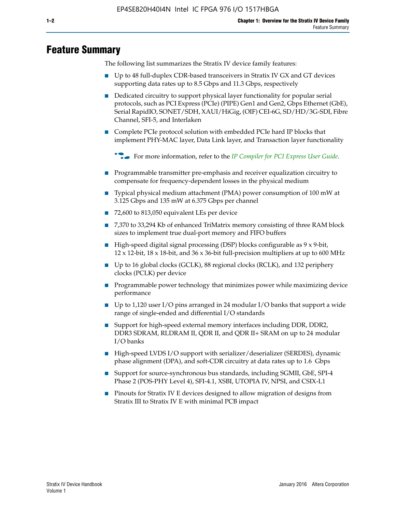# **Feature Summary**

The following list summarizes the Stratix IV device family features:

- Up to 48 full-duplex CDR-based transceivers in Stratix IV GX and GT devices supporting data rates up to 8.5 Gbps and 11.3 Gbps, respectively
- Dedicated circuitry to support physical layer functionality for popular serial protocols, such as PCI Express (PCIe) (PIPE) Gen1 and Gen2, Gbps Ethernet (GbE), Serial RapidIO, SONET/SDH, XAUI/HiGig, (OIF) CEI-6G, SD/HD/3G-SDI, Fibre Channel, SFI-5, and Interlaken
- Complete PCIe protocol solution with embedded PCIe hard IP blocks that implement PHY-MAC layer, Data Link layer, and Transaction layer functionality

**For more information, refer to the** *[IP Compiler for PCI Express User Guide](http://www.altera.com/literature/ug/ug_pci_express.pdf)***.** 

- Programmable transmitter pre-emphasis and receiver equalization circuitry to compensate for frequency-dependent losses in the physical medium
- Typical physical medium attachment (PMA) power consumption of 100 mW at 3.125 Gbps and 135 mW at 6.375 Gbps per channel
- 72,600 to 813,050 equivalent LEs per device
- 7,370 to 33,294 Kb of enhanced TriMatrix memory consisting of three RAM block sizes to implement true dual-port memory and FIFO buffers
- High-speed digital signal processing (DSP) blocks configurable as 9 x 9-bit,  $12 \times 12$ -bit,  $18 \times 18$ -bit, and  $36 \times 36$ -bit full-precision multipliers at up to 600 MHz
- Up to 16 global clocks (GCLK), 88 regional clocks (RCLK), and 132 periphery clocks (PCLK) per device
- Programmable power technology that minimizes power while maximizing device performance
- Up to 1,120 user I/O pins arranged in 24 modular I/O banks that support a wide range of single-ended and differential I/O standards
- Support for high-speed external memory interfaces including DDR, DDR2, DDR3 SDRAM, RLDRAM II, QDR II, and QDR II+ SRAM on up to 24 modular I/O banks
- High-speed LVDS I/O support with serializer/deserializer (SERDES), dynamic phase alignment (DPA), and soft-CDR circuitry at data rates up to 1.6 Gbps
- Support for source-synchronous bus standards, including SGMII, GbE, SPI-4 Phase 2 (POS-PHY Level 4), SFI-4.1, XSBI, UTOPIA IV, NPSI, and CSIX-L1
- Pinouts for Stratix IV E devices designed to allow migration of designs from Stratix III to Stratix IV E with minimal PCB impact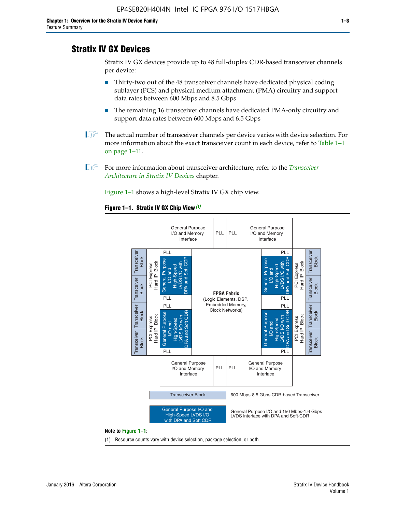# **Stratix IV GX Devices**

Stratix IV GX devices provide up to 48 full-duplex CDR-based transceiver channels per device:

- Thirty-two out of the 48 transceiver channels have dedicated physical coding sublayer (PCS) and physical medium attachment (PMA) circuitry and support data rates between 600 Mbps and 8.5 Gbps
- The remaining 16 transceiver channels have dedicated PMA-only circuitry and support data rates between 600 Mbps and 6.5 Gbps
- **1 The actual number of transceiver channels per device varies with device selection. For** more information about the exact transceiver count in each device, refer to Table 1–1 on page 1–11.
- 1 For more information about transceiver architecture, refer to the *[Transceiver](http://www.altera.com/literature/hb/stratix-iv/stx4_siv52001.pdf)  [Architecture in Stratix IV Devices](http://www.altera.com/literature/hb/stratix-iv/stx4_siv52001.pdf)* chapter.

Figure 1–1 shows a high-level Stratix IV GX chip view.

#### **Figure 1–1. Stratix IV GX Chip View** *(1)*



#### **Note to Figure 1–1:**

(1) Resource counts vary with device selection, package selection, or both.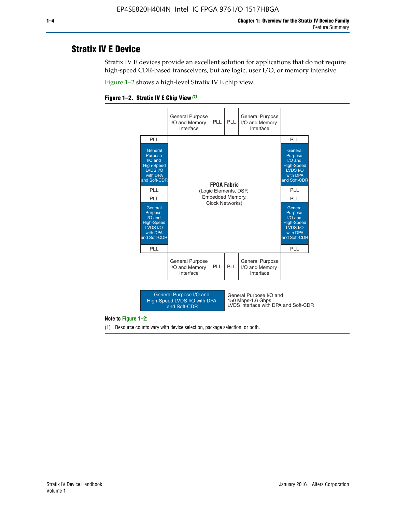# **Stratix IV E Device**

Stratix IV E devices provide an excellent solution for applications that do not require high-speed CDR-based transceivers, but are logic, user I/O, or memory intensive.

Figure 1–2 shows a high-level Stratix IV E chip view.





#### **Note to Figure 1–2:**

(1) Resource counts vary with device selection, package selection, or both.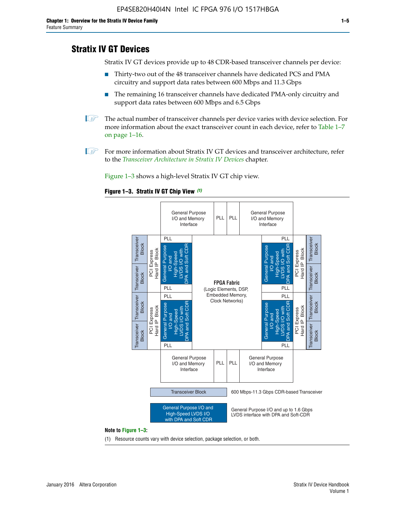# **Stratix IV GT Devices**

Stratix IV GT devices provide up to 48 CDR-based transceiver channels per device:

- Thirty-two out of the 48 transceiver channels have dedicated PCS and PMA circuitry and support data rates between 600 Mbps and 11.3 Gbps
- The remaining 16 transceiver channels have dedicated PMA-only circuitry and support data rates between 600 Mbps and 6.5 Gbps
- **1** The actual number of transceiver channels per device varies with device selection. For more information about the exact transceiver count in each device, refer to Table 1–7 on page 1–16.
- $\mathbb{I}$  For more information about Stratix IV GT devices and transceiver architecture, refer to the *[Transceiver Architecture in Stratix IV Devices](http://www.altera.com/literature/hb/stratix-iv/stx4_siv52001.pdf)* chapter.

Figure 1–3 shows a high-level Stratix IV GT chip view.

#### **Figure 1–3. Stratix IV GT Chip View** *(1)*



(1) Resource counts vary with device selection, package selection, or both.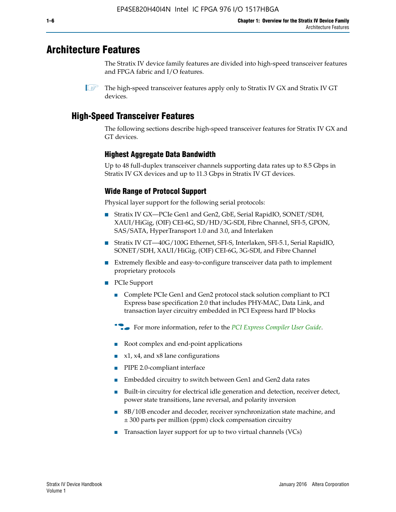# **Architecture Features**

The Stratix IV device family features are divided into high-speed transceiver features and FPGA fabric and I/O features.

 $\mathbb{I}$  The high-speed transceiver features apply only to Stratix IV GX and Stratix IV GT devices.

# **High-Speed Transceiver Features**

The following sections describe high-speed transceiver features for Stratix IV GX and GT devices.

### **Highest Aggregate Data Bandwidth**

Up to 48 full-duplex transceiver channels supporting data rates up to 8.5 Gbps in Stratix IV GX devices and up to 11.3 Gbps in Stratix IV GT devices.

## **Wide Range of Protocol Support**

Physical layer support for the following serial protocols:

- Stratix IV GX—PCIe Gen1 and Gen2, GbE, Serial RapidIO, SONET/SDH, XAUI/HiGig, (OIF) CEI-6G, SD/HD/3G-SDI, Fibre Channel, SFI-5, GPON, SAS/SATA, HyperTransport 1.0 and 3.0, and Interlaken
- Stratix IV GT—40G/100G Ethernet, SFI-S, Interlaken, SFI-5.1, Serial RapidIO, SONET/SDH, XAUI/HiGig, (OIF) CEI-6G, 3G-SDI, and Fibre Channel
- Extremely flexible and easy-to-configure transceiver data path to implement proprietary protocols
- PCIe Support
	- Complete PCIe Gen1 and Gen2 protocol stack solution compliant to PCI Express base specification 2.0 that includes PHY-MAC, Data Link, and transaction layer circuitry embedded in PCI Express hard IP blocks
	- **For more information, refer to the [PCI Express Compiler User Guide](http://www.altera.com/literature/ug/ug_pci_express.pdf).**
	- Root complex and end-point applications
	- $x1, x4,$  and  $x8$  lane configurations
	- PIPE 2.0-compliant interface
	- Embedded circuitry to switch between Gen1 and Gen2 data rates
	- Built-in circuitry for electrical idle generation and detection, receiver detect, power state transitions, lane reversal, and polarity inversion
	- 8B/10B encoder and decoder, receiver synchronization state machine, and ± 300 parts per million (ppm) clock compensation circuitry
	- Transaction layer support for up to two virtual channels (VCs)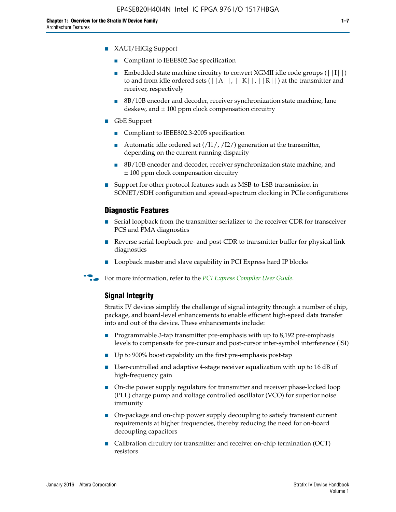- Compliant to IEEE802.3ae specification
- **■** Embedded state machine circuitry to convert XGMII idle code groups  $(|11|)$ to and from idle ordered sets  $(|A|, |K|, |R|)$  at the transmitter and receiver, respectively
- 8B/10B encoder and decoder, receiver synchronization state machine, lane deskew, and  $\pm 100$  ppm clock compensation circuitry
- GbE Support
	- Compliant to IEEE802.3-2005 specification
	- Automatic idle ordered set  $(111/112/1)$  generation at the transmitter, depending on the current running disparity
	- 8B/10B encoder and decoder, receiver synchronization state machine, and ± 100 ppm clock compensation circuitry
- Support for other protocol features such as MSB-to-LSB transmission in SONET/SDH configuration and spread-spectrum clocking in PCIe configurations

#### **Diagnostic Features**

- Serial loopback from the transmitter serializer to the receiver CDR for transceiver PCS and PMA diagnostics
- Reverse serial loopback pre- and post-CDR to transmitter buffer for physical link diagnostics
- Loopback master and slave capability in PCI Express hard IP blocks
- **For more information, refer to the** *[PCI Express Compiler User Guide](http://www.altera.com/literature/ug/ug_pci_express.pdf)***.**

#### **Signal Integrity**

Stratix IV devices simplify the challenge of signal integrity through a number of chip, package, and board-level enhancements to enable efficient high-speed data transfer into and out of the device. These enhancements include:

- Programmable 3-tap transmitter pre-emphasis with up to 8,192 pre-emphasis levels to compensate for pre-cursor and post-cursor inter-symbol interference (ISI)
- Up to 900% boost capability on the first pre-emphasis post-tap
- User-controlled and adaptive 4-stage receiver equalization with up to 16 dB of high-frequency gain
- On-die power supply regulators for transmitter and receiver phase-locked loop (PLL) charge pump and voltage controlled oscillator (VCO) for superior noise immunity
- On-package and on-chip power supply decoupling to satisfy transient current requirements at higher frequencies, thereby reducing the need for on-board decoupling capacitors
- Calibration circuitry for transmitter and receiver on-chip termination (OCT) resistors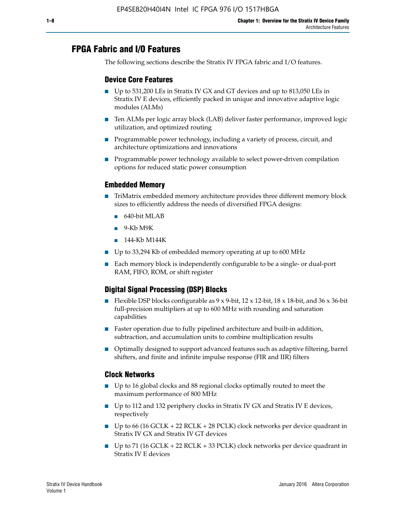# **FPGA Fabric and I/O Features**

The following sections describe the Stratix IV FPGA fabric and I/O features.

### **Device Core Features**

- Up to 531,200 LEs in Stratix IV GX and GT devices and up to 813,050 LEs in Stratix IV E devices, efficiently packed in unique and innovative adaptive logic modules (ALMs)
- Ten ALMs per logic array block (LAB) deliver faster performance, improved logic utilization, and optimized routing
- Programmable power technology, including a variety of process, circuit, and architecture optimizations and innovations
- Programmable power technology available to select power-driven compilation options for reduced static power consumption

#### **Embedded Memory**

- TriMatrix embedded memory architecture provides three different memory block sizes to efficiently address the needs of diversified FPGA designs:
	- 640-bit MLAB
	- 9-Kb M9K
	- 144-Kb M144K
- Up to 33,294 Kb of embedded memory operating at up to 600 MHz
- Each memory block is independently configurable to be a single- or dual-port RAM, FIFO, ROM, or shift register

## **Digital Signal Processing (DSP) Blocks**

- Flexible DSP blocks configurable as  $9 \times 9$ -bit,  $12 \times 12$ -bit,  $18 \times 18$ -bit, and  $36 \times 36$ -bit full-precision multipliers at up to 600 MHz with rounding and saturation capabilities
- Faster operation due to fully pipelined architecture and built-in addition, subtraction, and accumulation units to combine multiplication results
- Optimally designed to support advanced features such as adaptive filtering, barrel shifters, and finite and infinite impulse response (FIR and IIR) filters

#### **Clock Networks**

- Up to 16 global clocks and 88 regional clocks optimally routed to meet the maximum performance of 800 MHz
- Up to 112 and 132 periphery clocks in Stratix IV GX and Stratix IV E devices, respectively
- Up to 66 (16 GCLK + 22 RCLK + 28 PCLK) clock networks per device quadrant in Stratix IV GX and Stratix IV GT devices
- Up to 71 (16 GCLK + 22 RCLK + 33 PCLK) clock networks per device quadrant in Stratix IV E devices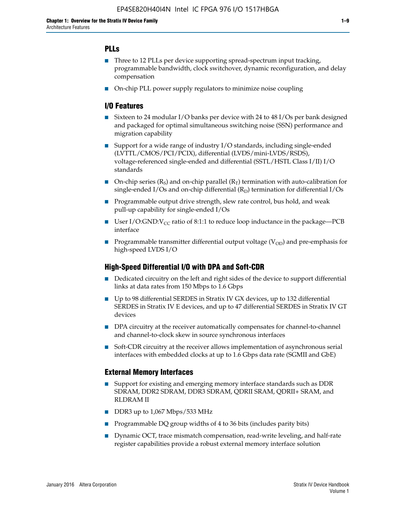### **PLLs**

- Three to 12 PLLs per device supporting spread-spectrum input tracking, programmable bandwidth, clock switchover, dynamic reconfiguration, and delay compensation
- On-chip PLL power supply regulators to minimize noise coupling

#### **I/O Features**

- Sixteen to 24 modular I/O banks per device with 24 to 48 I/Os per bank designed and packaged for optimal simultaneous switching noise (SSN) performance and migration capability
- Support for a wide range of industry I/O standards, including single-ended (LVTTL/CMOS/PCI/PCIX), differential (LVDS/mini-LVDS/RSDS), voltage-referenced single-ended and differential (SSTL/HSTL Class I/II) I/O standards
- **O**n-chip series  $(R_S)$  and on-chip parallel  $(R_T)$  termination with auto-calibration for single-ended I/Os and on-chip differential  $(R_D)$  termination for differential I/Os
- Programmable output drive strength, slew rate control, bus hold, and weak pull-up capability for single-ended I/Os
- User I/O:GND: $V_{CC}$  ratio of 8:1:1 to reduce loop inductance in the package—PCB interface
- **■** Programmable transmitter differential output voltage ( $V_{OD}$ ) and pre-emphasis for high-speed LVDS I/O

#### **High-Speed Differential I/O with DPA and Soft-CDR**

- Dedicated circuitry on the left and right sides of the device to support differential links at data rates from 150 Mbps to 1.6 Gbps
- Up to 98 differential SERDES in Stratix IV GX devices, up to 132 differential SERDES in Stratix IV E devices, and up to 47 differential SERDES in Stratix IV GT devices
- DPA circuitry at the receiver automatically compensates for channel-to-channel and channel-to-clock skew in source synchronous interfaces
- Soft-CDR circuitry at the receiver allows implementation of asynchronous serial interfaces with embedded clocks at up to 1.6 Gbps data rate (SGMII and GbE)

#### **External Memory Interfaces**

- Support for existing and emerging memory interface standards such as DDR SDRAM, DDR2 SDRAM, DDR3 SDRAM, QDRII SRAM, QDRII+ SRAM, and RLDRAM II
- DDR3 up to 1,067 Mbps/533 MHz
- Programmable DQ group widths of 4 to 36 bits (includes parity bits)
- Dynamic OCT, trace mismatch compensation, read-write leveling, and half-rate register capabilities provide a robust external memory interface solution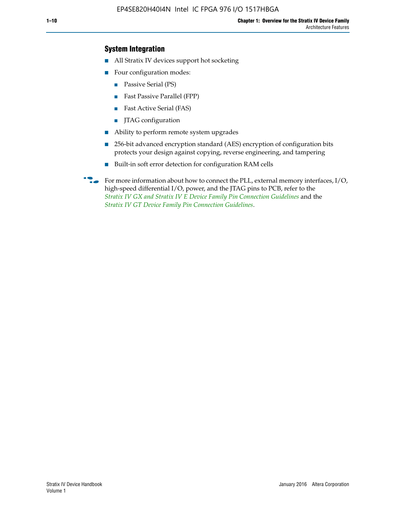### **System Integration**

- All Stratix IV devices support hot socketing
- Four configuration modes:
	- Passive Serial (PS)
	- Fast Passive Parallel (FPP)
	- Fast Active Serial (FAS)
	- JTAG configuration
- Ability to perform remote system upgrades
- 256-bit advanced encryption standard (AES) encryption of configuration bits protects your design against copying, reverse engineering, and tampering
- Built-in soft error detection for configuration RAM cells
- For more information about how to connect the PLL, external memory interfaces,  $I/O$ , high-speed differential I/O, power, and the JTAG pins to PCB, refer to the *[Stratix IV GX and Stratix IV E Device Family Pin Connection Guidelines](http://www.altera.com/literature/dp/stratix4/PCG-01005.pdf)* and the *[Stratix IV GT Device Family Pin Connection Guidelines](http://www.altera.com/literature/dp/stratix4/PCG-01006.pdf)*.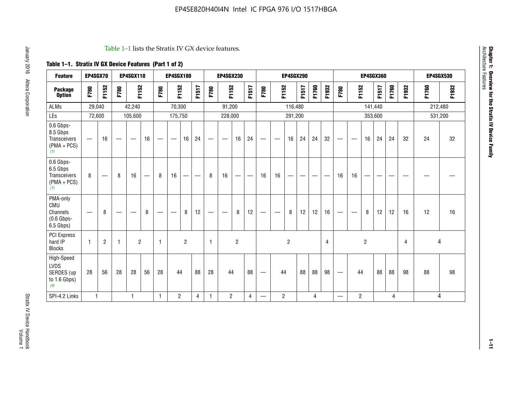#### Table 1–1 lists the Stratix IV GX device features.

# **Table 1–1. Stratix IV GX Device Features (Part 1 of 2)**

| <b>Feature</b>                                                       | EP4SGX70                       |                |                                  | <b>EP4SGX110</b> |    |                                | <b>EP4SGX180</b>               |                |       |              | <b>EP4SGX230</b>         |                          |                               |      |                | <b>EP4SGX290</b> |       |       |       |                          |                   |                | <b>EP4SGX360</b> |       |       |         | <b>EP4SGX530</b> |
|----------------------------------------------------------------------|--------------------------------|----------------|----------------------------------|------------------|----|--------------------------------|--------------------------------|----------------|-------|--------------|--------------------------|--------------------------|-------------------------------|------|----------------|------------------|-------|-------|-------|--------------------------|-------------------|----------------|------------------|-------|-------|---------|------------------|
| <b>Package</b><br><b>Option</b>                                      | F780                           | F1152          | F780                             | F1152            |    | F780                           | F1152                          |                | F1517 | F780         | F1152                    |                          | F1517                         | F780 | F1152          |                  | F1517 | F1760 | F1932 | F780                     | F1152             |                | F1517            | F1760 | F1932 | F1760   | F1932            |
| ALMs                                                                 | 29,040                         |                |                                  | 42,240           |    |                                | 70,300                         |                |       |              | 91,200                   |                          |                               |      |                | 116,480          |       |       |       |                          |                   |                | 141,440          |       |       | 212,480 |                  |
| LEs                                                                  | 72,600                         |                |                                  | 105,600          |    |                                | 175,750                        |                |       |              | 228,000                  |                          |                               |      |                | 291,200          |       |       |       |                          |                   |                | 353,600          |       |       |         | 531,200          |
| 0.6 Gbps-<br>8.5 Gbps<br>Transceivers<br>$(PMA + PCs)$<br>(1)        | $\overline{\phantom{0}}$       | 16             |                                  |                  | 16 |                                | $\qquad \qquad \longleftarrow$ | 16             | 24    |              |                          | 16                       | 24                            |      |                | 16               | 24    | 24    | 32    | $\overline{\phantom{0}}$ |                   | 16             | 24               | 24    | 32    | 24      | 32               |
| 0.6 Gbps-<br>6.5 Gbps<br><b>Transceivers</b><br>$(PMA + PCs)$<br>(1) | 8                              |                | 8                                | 16               | –  | 8                              | 16                             | -              |       | 8            | 16                       | $\overline{\phantom{0}}$ | $\overbrace{\phantom{aaaaa}}$ | 16   | 16             |                  | -     |       |       | 16                       | 16                |                |                  |       |       |         |                  |
| PMA-only<br>CMU<br>Channels<br>$(0.6$ Gbps-<br>6.5 Gbps)             | $\qquad \qquad \longleftarrow$ | 8              | $\overbrace{\phantom{12322111}}$ |                  | 8  | $\qquad \qquad \longleftarrow$ |                                | 8              | 12    | -            | $\overline{\phantom{a}}$ | 8                        | 12                            |      |                | 8                | 12    | 12    | 16    | $\overline{\phantom{0}}$ | $\hspace{0.05cm}$ | 8              | 12               | 12    | 16    | 12      | 16               |
| PCI Express<br>hard IP<br><b>Blocks</b>                              | $\mathbf{1}$                   | $\overline{2}$ |                                  | $\overline{2}$   |    | 1                              |                                | $\overline{2}$ |       | $\mathbf{1}$ |                          | $\overline{c}$           |                               |      |                | $\overline{c}$   |       |       | 4     |                          |                   | $\overline{2}$ |                  |       | 4     |         | 4                |
| High-Speed<br>LVDS<br>SERDES (up<br>to 1.6 Gbps)<br>(4)              | 28                             | 56             | 28                               | 28               | 56 | 28                             | 44                             |                | 88    | 28           | 44                       |                          | 88                            | —    | 44             |                  | 88    | 88    | 98    |                          | 44                |                | 88               | 88    | 98    | 88      | 98               |
| SPI-4.2 Links                                                        | $\mathbf{1}$                   |                |                                  | 1                |    | $\mathbf{1}$                   | $\overline{c}$                 |                | 4     | 1            | $\overline{c}$           |                          | $\overline{4}$                | —    | $\overline{2}$ |                  |       | 4     |       | $\overline{\phantom{0}}$ | $\overline{2}$    |                |                  | 4     |       |         | 4                |

**Chapter 1: Overview for the Stratix IV Device Family**

**Chapter 1: Overview for the Stratix IV Device Family**<br>Architecture Features

Architecture Features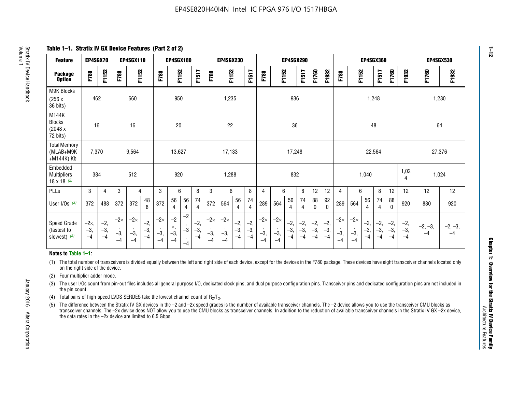**Table 1–1. Stratix IV GX Device Features (Part 2 of 2)**

| <b>Feature</b>                                       | EP4SGX70                |                        |                             | <b>EP4SGX110</b>            |                        |                             | <b>EP4SGX180</b>            |                                                 |                        |                             | EP4SGX230                   |                        |                      |                             |                             |                        | <b>EP4SGX290</b>       |                        |                        |                             |                             |                        | <b>EP4SGX360</b>       |                        |                        | <b>EP4SGX530</b>  |                   |
|------------------------------------------------------|-------------------------|------------------------|-----------------------------|-----------------------------|------------------------|-----------------------------|-----------------------------|-------------------------------------------------|------------------------|-----------------------------|-----------------------------|------------------------|----------------------|-----------------------------|-----------------------------|------------------------|------------------------|------------------------|------------------------|-----------------------------|-----------------------------|------------------------|------------------------|------------------------|------------------------|-------------------|-------------------|
| <b>Package</b><br><b>Option</b>                      | F780                    | F1152                  | F780                        | F1152                       |                        | F780                        | F1152                       |                                                 | F1517                  | F780                        | F1152                       |                        | F1517                | F780                        | F1152                       |                        | F1517                  | F1760                  | F1932                  | F780                        | F1152                       |                        | <b>F1517</b>           | F1760                  | F1932                  | F1760             | F1932             |
| M9K Blocks<br>(256x)<br>36 bits)                     | 462                     |                        |                             | 660                         |                        |                             | 950                         |                                                 |                        |                             | 1,235                       |                        |                      |                             |                             | 936                    |                        |                        |                        |                             |                             | 1,248                  |                        |                        |                        | 1,280             |                   |
| M144K<br>Blocks<br>(2048 x<br>72 bits)               | 16                      |                        |                             | 16                          |                        |                             | 20                          |                                                 |                        |                             | 22                          |                        |                      |                             |                             | 36                     |                        |                        |                        |                             |                             | 48                     |                        |                        |                        | 64                |                   |
| <b>Total Memory</b><br>(MLAB+M9K<br>+M144K) Kb       | 7,370                   |                        |                             | 9,564                       |                        |                             | 13,627                      |                                                 |                        |                             | 17,133                      |                        |                      |                             |                             | 17,248                 |                        |                        |                        |                             |                             | 22,564                 |                        |                        |                        | 27,376            |                   |
| Embedded<br><b>Multipliers</b><br>$18 \times 18$ (2) | 384                     |                        |                             | 512                         |                        |                             | 920                         |                                                 |                        |                             | 1,288                       |                        |                      |                             |                             | 832                    |                        |                        |                        |                             |                             | 1,040                  |                        |                        | 1,02<br>4              | 1,024             |                   |
| PLLs                                                 | 3                       | 4                      | 3                           | 4                           |                        | 3                           | 6                           |                                                 | 8                      | 3                           | 6                           |                        | 8                    | 4                           | 6                           |                        | 8                      | 12                     | 12                     | 4                           | 6                           |                        | 8                      | 12                     | 12                     | 12                | 12                |
| User $1/Os$ (3)                                      | 372                     | 488                    | 372                         | 372                         | 48<br>8                | 372                         | 56<br>4                     | 56<br>4                                         | 74<br>$\overline{4}$   | 372                         | 564                         | 56<br>4                | 74<br>$\overline{4}$ | 289                         | 564                         | 56<br>4                | 74<br>4                | 88<br>0                | 92<br>$\mathbf 0$      | 289                         | 564                         | 56<br>4                | 74<br>4                | 88<br>$\mathbf{0}$     | 920                    | 880               | 920               |
| Speed Grade<br>(fastest to<br>slowest) $(5)$         | $-2x,$<br>$-3,$<br>$-4$ | $-2,$<br>$-3,$<br>$-4$ | $-2\times$<br>$-3,$<br>$-4$ | $-2\times$<br>$-3,$<br>$-4$ | $-2,$<br>$-3,$<br>$-4$ | $-2\times$<br>$-3,$<br>$-4$ | $-2$<br>×,<br>$-3,$<br>$-4$ | $-2$<br>$\cdot$<br>$-3$<br>$\mathbf{r}$<br>$-4$ | $-2,$<br>$-3,$<br>$-4$ | $-2\times$<br>$-3,$<br>$-4$ | $-2\times$<br>$-3,$<br>$-4$ | $-2,$<br>$-3,$<br>$-4$ | $-2,$<br>-3,<br>$-4$ | $-2\times$<br>$-3,$<br>$-4$ | $-2\times$<br>$-3,$<br>$-4$ | $-2,$<br>$-3,$<br>$-4$ | $-2,$<br>$-3,$<br>$-4$ | $-2,$<br>$-3,$<br>$-4$ | $-2,$<br>$-3,$<br>$-4$ | $-2\times$<br>$-3,$<br>$-4$ | $-2\times$<br>$-3,$<br>$-4$ | $-2,$<br>$-3,$<br>$-4$ | $-2,$<br>$-3,$<br>$-4$ | $-2,$<br>$-3,$<br>$-4$ | $-2,$<br>$-3,$<br>$-4$ | $-2, -3,$<br>$-4$ | $-2, -3,$<br>$-4$ |

#### **Notes to Table 1–1:**

(1) The total number of transceivers is divided equally between the left and right side of each device, except for the devices in the F780 package. These devices have eight transceiver channels located only on the right side of the device.

(2) Four multiplier adder mode.

(3) The user I/Os count from pin-out files includes all general purpose I/O, dedicated clock pins, and dual purpose configuration pins. Transceiver pins and dedicated configuration pins are not included in the pin count.

- (4) Total pairs of high-speed LVDS SERDES take the lowest channel count of  $R_X/T_X$ .
- (5) The difference between the Stratix IV GX devices in the –2 and –2x speed grades is the number of available transceiver channels. The –2 device allows you to use the transceiver CMU blocks as transceiver channels. The –2x device does NOT allow you to use the CMU blocks as transceiver channels. In addition to the reduction of available transceiver channels in the Stratix IV GX –2x device, the data rates in the –2x device are limited to 6.5 Gbps.

January 2016 Altera Corporation

Altera Corporation

January 2016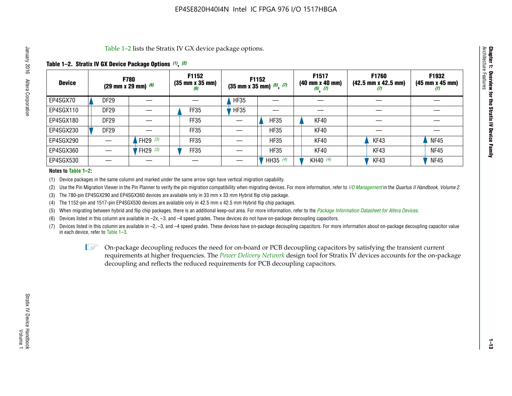Table 1–2 lists the Stratix IV GX device package options.

### **Table 1–2. Stratix IV GX Device Package Options** *(1)***,** *(2)*

| <b>Device</b> |                  | <b>F780</b><br>(29 mm x 29 mm) $(6)$ | F1152<br>$(35 \, \text{mm} \times 35 \, \text{mm})$<br>(6) |             | F1152<br>$(35$ mm x 35 mm) $(5)$ , $(7)$ | F1517<br>$(40 \, \text{mm} \times 40 \, \text{mm})$<br>$(5)$ $(7)$ | <b>F1760</b><br>$(42.5 \text{ mm} \times 42.5 \text{ mm})$<br>$\boldsymbol{U}$ | F1932<br>$(45 \, \text{mm} \times 45 \, \text{mm})$<br>(7) |
|---------------|------------------|--------------------------------------|------------------------------------------------------------|-------------|------------------------------------------|--------------------------------------------------------------------|--------------------------------------------------------------------------------|------------------------------------------------------------|
| EP4SGX70      | <b>DF29</b>      |                                      |                                                            | <b>HF35</b> |                                          |                                                                    |                                                                                |                                                            |
| EP4SGX110     | DF <sub>29</sub> |                                      | FF35                                                       | <b>HF35</b> |                                          |                                                                    |                                                                                |                                                            |
| EP4SGX180     | <b>DF29</b>      |                                      | FF35                                                       |             | <b>HF35</b>                              | KF40                                                               |                                                                                |                                                            |
| EP4SGX230     | <b>DF29</b>      |                                      | FF35                                                       |             | <b>HF35</b>                              | KF40                                                               |                                                                                |                                                            |
| EP4SGX290     |                  | FH29 $(3)$                           | <b>FF35</b>                                                |             | <b>HF35</b>                              | KF40                                                               | KF43                                                                           | <b>NF45</b>                                                |
| EP4SGX360     |                  | FH29 $(3)$                           | FF35                                                       |             | <b>HF35</b>                              | KF40                                                               | KF43                                                                           | <b>NF45</b>                                                |
| EP4SGX530     |                  |                                      |                                                            |             | HH35 $(4)$                               | KH40 (4)                                                           | KF43                                                                           | <b>NF45</b>                                                |

#### **Notes to Table 1–2:**

(1) Device packages in the same column and marked under the same arrow sign have vertical migration capability.

(2) Use the Pin Migration Viewer in the Pin Planner to verify the pin migration compatibility when migrating devices. For more information, refer to *[I/O Management](http://www.altera.com/literature/hb/qts/qts_qii52013.pdf)* in the *Quartus II Handbook, Volume 2*.

(3) The 780-pin EP4SGX290 and EP4SGX360 devices are available only in 33 mm x 33 mm Hybrid flip chip package.

(4) The 1152-pin and 1517-pin EP4SGX530 devices are available only in 42.5 mm x 42.5 mm Hybrid flip chip packages.

(5) When migrating between hybrid and flip chip packages, there is an additional keep-out area. For more information, refer to the *[Package Information Datasheet for Altera Devices](http://www.altera.com/literature/ds/dspkg.pdf)*.

(6) Devices listed in this column are available in –2x, –3, and –4 speed grades. These devices do not have on-package decoupling capacitors.

(7) Devices listed in this column are available in –2, –3, and –4 speed grades. These devices have on-package decoupling capacitors. For more information about on-package decoupling capacitor value in each device, refer to Table 1–3.

 $\mathbb{L}$ s On-package decoupling reduces the need for on-board or PCB decoupling capacitors by satisfying the transient current requirements at higher frequencies. The *[Power Delivery Network](http://www.altera.com/literature/ug/pdn_tool_stxiv.zip)* design tool for Stratix IV devices accounts for the on-package decoupling and reflects the reduced requirements for PCB decoupling capacitors.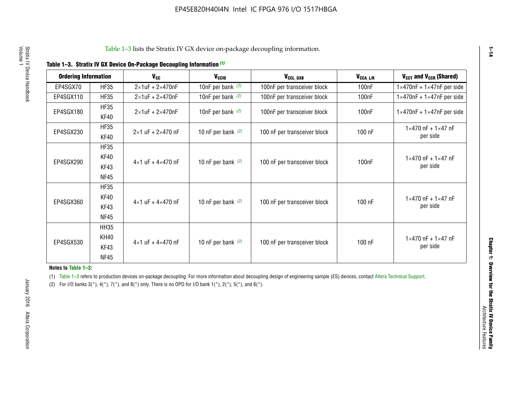|  |  | Table 1-3. Stratix IV GX Device On-Package Decoupling Information (1) |  |  |
|--|--|-----------------------------------------------------------------------|--|--|
|--|--|-----------------------------------------------------------------------|--|--|

| <b>Ordering Information</b> |                     | <b>V<sub>cc</sub></b>               | V <sub>ccio</sub>    | V <sub>CCL GXB</sub>         | V <sub>CCA_L/R</sub> | V <sub>CCT</sub> and V <sub>CCR</sub> (Shared)   |
|-----------------------------|---------------------|-------------------------------------|----------------------|------------------------------|----------------------|--------------------------------------------------|
| EP4SGX70                    | <b>HF35</b>         | $2\times1$ uF + $2\times470$ nF     | 10nF per bank $(2)$  | 100nF per transceiver block  | 100 <sub>n</sub> F   | $1 \times 470$ nF + $1 \times 47$ nF per side    |
| EP4SGX110                   | <b>HF35</b>         | $2\times1$ uF + $2\times470$ nF     | 10nF per bank $(2)$  | 100nF per transceiver block  | 100 <sub>n</sub> F   | $1\times470$ nF + $1\times47$ nF per side        |
| EP4SGX180                   | <b>HF35</b><br>KF40 | $2\times1$ uF + $2\times470$ nF     | 10nF per bank $(2)$  | 100nF per transceiver block  | 100 <sub>n</sub> F   | $1 \times 470$ nF + $1 \times 47$ nF per side    |
| EP4SGX230                   | <b>HF35</b><br>KF40 | $2 \times 1$ uF + $2 \times 470$ nF | 10 nF per bank $(2)$ | 100 nF per transceiver block | 100 nF               | $1 \times 470$ nF + $1 \times 47$ nF<br>per side |
|                             | <b>HF35</b><br>KF40 |                                     |                      |                              |                      | $1 \times 470$ nF + $1 \times 47$ nF             |
| EP4SGX290                   | KF43<br><b>NF45</b> | $4 \times 1$ uF + $4 \times 470$ nF | 10 nF per bank $(2)$ | 100 nF per transceiver block | 100nF                | per side                                         |
|                             | <b>HF35</b><br>KF40 |                                     |                      |                              |                      | $1 \times 470$ nF + $1 \times 47$ nF             |
| EP4SGX360                   | KF43<br><b>NF45</b> | $4 \times 1$ uF + $4 \times 470$ nF | 10 nF per bank $(2)$ | 100 nF per transceiver block | 100 nF               | per side                                         |
|                             | <b>HH35</b>         |                                     |                      |                              |                      |                                                  |
| EP4SGX530                   | <b>KH40</b><br>KF43 | $4 \times 1$ uF + $4 \times 470$ nF | 10 nF per bank $(2)$ | 100 nF per transceiver block | 100 nF               | $1 \times 470$ nF + $1 \times 47$ nF<br>per side |
|                             | <b>NF45</b>         |                                     |                      |                              |                      |                                                  |

**Notes to Table 1–3:**

(1) Table 1-3 refers to production devices on-package decoupling. For more information about decoupling design of engineering sample (ES) devices, contact [Altera Technical Support](http://mysupport.altera.com/eservice/login.asp).

(2) For I/O banks  $3(*)$ ,  $4(*)$ ,  $7(*)$ , and  $8(*)$  only. There is no OPD for I/O bank  $1(*)$ ,  $2(*)$ ,  $5(*)$ , and  $6(*)$ .

**1–14**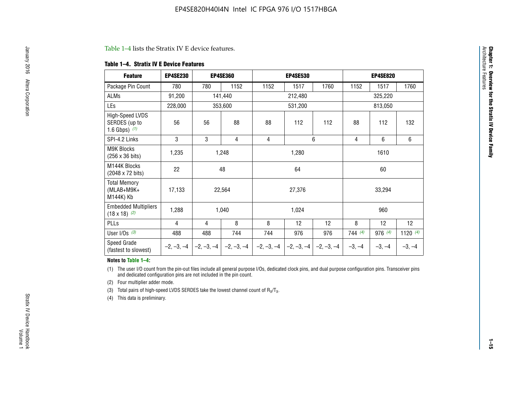#### Table 1–4 lists the Stratix IV E device features.

#### **Table 1–4. Stratix IV E Device Features**

| <b>Feature</b>                                      | <b>EP4SE230</b> |     | <b>EP4SE360</b>                          |              | <b>EP4SE530</b> |              |          | <b>EP4SE820</b> |            |
|-----------------------------------------------------|-----------------|-----|------------------------------------------|--------------|-----------------|--------------|----------|-----------------|------------|
| Package Pin Count                                   | 780             | 780 | 1152                                     | 1152         | 1517            | 1760         | 1152     | 1517            | 1760       |
| ALMs                                                | 91,200          |     | 141,440                                  |              | 212,480         |              |          | 325,220         |            |
| LEs                                                 | 228,000         |     | 353,600                                  |              | 531,200         |              |          | 813,050         |            |
| High-Speed LVDS<br>SERDES (up to<br>1.6 Gbps) $(1)$ | 56              | 56  | 88                                       | 88           | 112             | 112          | 88       | 112             | 132        |
| SPI-4.2 Links                                       | 3               | 3   | 4                                        | 4            |                 | 6            | 4        | 6               | 6          |
| <b>M9K Blocks</b><br>(256 x 36 bits)                | 1,235           |     | 1,248                                    |              | 1,280           |              |          | 1610            |            |
| M144K Blocks<br>(2048 x 72 bits)                    | 22              |     | 48                                       |              | 64              |              |          | 60              |            |
| <b>Total Memory</b><br>$(MLAB+M9K+$<br>M144K) Kb    | 17,133          |     | 22,564                                   |              | 27,376          |              |          | 33,294          |            |
| <b>Embedded Multipliers</b><br>$(18 \times 18)$ (2) | 1,288           |     | 1,040                                    |              | 1,024           |              |          | 960             |            |
| PLLs                                                | 4               | 4   | 8                                        | 8            | 12              | 12           | 8        | 12              | 12         |
| User I/Os $(3)$                                     | 488             | 488 | 744                                      | 744          | 976             | 976          | 744(4)   | 976 (4)         | 1120 $(4)$ |
| Speed Grade<br>(fastest to slowest)                 |                 |     | $-2, -3, -4$ $ -2, -3, -4$ $ -2, -3, -4$ | $-2, -3, -4$ | $-2, -3, -4$    | $-2, -3, -4$ | $-3, -4$ | $-3, -4$        | $-3, -4$   |

#### **Notes to Table 1–4:**

(1) The user I/O count from the pin-out files include all general purpose I/Os, dedicated clock pins, and dual purpose configuration pins. Transceiver pins and dedicated configuration pins are not included in the pin count.

(2) Four multiplier adder mode.

(3) Total pairs of high-speed LVDS SERDES take the lowest channel count of  $R_X/T_X$ .

(4) This data is preliminary.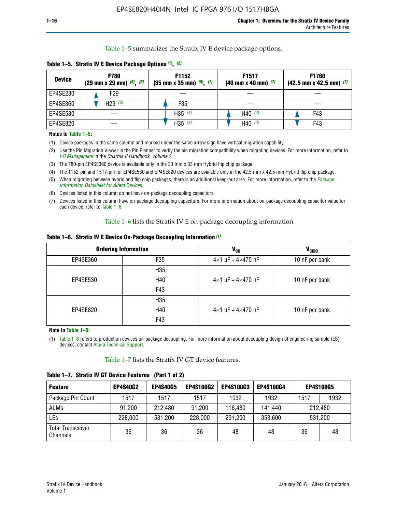Table 1–5 summarizes the Stratix IV E device package options.

| <b>Device</b> | <b>F780</b><br>$(29 \text{ mm} \times 29 \text{ mm})$ $(5)$ , $(6)$ | F1152<br>$(35 \text{ mm} \times 35 \text{ mm})$ $(5)$ , $(7)$ | F <sub>1517</sub><br>$(40 \text{ mm} \times 40 \text{ mm})$ (7) | <b>F1760</b><br>$(42.5$ mm x 42.5 mm) $(7)$ |
|---------------|---------------------------------------------------------------------|---------------------------------------------------------------|-----------------------------------------------------------------|---------------------------------------------|
| EP4SE230      | F29                                                                 |                                                               |                                                                 |                                             |
| EP4SE360      | H29 $(3)$                                                           | F35                                                           |                                                                 |                                             |
| EP4SE530      |                                                                     | H35 $(4)$                                                     | H40 $(4)$                                                       | F43                                         |
| EP4SE820      |                                                                     | H35 $(4)$                                                     | H40 $(4)$                                                       | F43                                         |

**Table 1–5. Stratix IV E Device Package Options** *(1)***,** *(2)*

#### **Notes to Table 1–5:**

(1) Device packages in the same column and marked under the same arrow sign have vertical migration capability.

(2) Use the Pin Migration Viewer in the Pin Planner to verify the pin migration compatibility when migrating devices. For more information, refer to *[I/O Management](http://www.altera.com/literature/hb/qts/qts_qii52013.pdf)* in the *Quartus II Handbook, Volume 2*.

(3) The 780-pin EP4SE360 device is available only in the 33 mm x 33 mm Hybrid flip chip package.

(4) The 1152-pin and 1517-pin for EP4SE530 and EP4SE820 devices are available only in the 42.5 mm x 42.5 mm Hybrid flip chip package.

(5) When migrating between hybrid and flip chip packages, there is an additional keep-out area. For more information, refer to the *[Package](http://www.altera.com/literature/ds/dspkg.pdf)  [Information Datasheet for Altera Devices](http://www.altera.com/literature/ds/dspkg.pdf)*.

(6) Devices listed in this column do not have on-package decoupling capacitors.

(7) Devices listed in this column have on-package decoupling capacitors. For more information about on-package decoupling capacitor value for each device, refer to Table 1–6.

Table 1–6 lists the Stratix IV E on-package decoupling information.

| Table 1–6. Stratix IV E Device On-Package Decoupling Information (1) |  |  |  |  |  |
|----------------------------------------------------------------------|--|--|--|--|--|
|----------------------------------------------------------------------|--|--|--|--|--|

|          | <b>Ordering Information</b> | <b>V<sub>cc</sub></b>               | <b>V<sub>CCIO</sub></b> |
|----------|-----------------------------|-------------------------------------|-------------------------|
| EP4SE360 | F35                         | $4 \times 1$ uF + $4 \times 470$ nF | 10 nF per bank          |
|          | H <sub>35</sub>             |                                     |                         |
| EP4SE530 | H40                         | $4 \times 1$ uF + $4 \times 470$ nF | 10 nF per bank          |
|          | F43                         |                                     |                         |
|          | H <sub>35</sub>             |                                     |                         |
| EP4SE820 | H40                         | $4 \times 1$ uF + $4 \times 470$ nF | 10 nF per bank          |
|          | F43                         |                                     |                         |

**Note to Table 1–6:**

(1) Table 1–6 refers to production devices on-package decoupling. For more information about decoupling design of engineering sample (ES) devices, contact [Altera Technical Support](http://mysupport.altera.com/eservice/login.asp).

Table 1–7 lists the Stratix IV GT device features.

| <b>Feature</b>                       | <b>EP4S40G2</b> | <b>EP4S40G5</b> | <b>EP4S100G2</b> | <b>EP4S100G3</b> | <b>EP4S100G4</b> | <b>EP4S100G5</b> |         |
|--------------------------------------|-----------------|-----------------|------------------|------------------|------------------|------------------|---------|
| Package Pin Count                    | 1517            | 1517            | 1517             | 1932             | 1932             | 1517             | 1932    |
| <b>ALMs</b>                          | 91,200          | 212,480         | 91,200           | 116,480          | 141,440          | 212.480          |         |
| LEs                                  | 228,000         | 531,200         | 228,000          | 291,200          | 353,600          |                  | 531,200 |
| <b>Total Transceiver</b><br>Channels | 36              | 36              | 36               | 48               | 48               | 36               | 48      |

**Table 1–7. Stratix IV GT Device Features (Part 1 of 2)**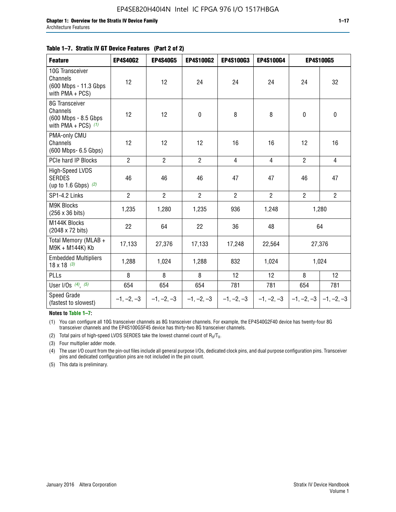#### **Table 1–7. Stratix IV GT Device Features (Part 2 of 2)**

| <b>Feature</b>                                                               | <b>EP4S40G2</b> | <b>EP4S40G5</b> | <b>EP4S100G2</b> | <b>EP4S100G3</b> | <b>EP4S100G4</b> | <b>EP4S100G5</b>          |                |
|------------------------------------------------------------------------------|-----------------|-----------------|------------------|------------------|------------------|---------------------------|----------------|
| 10G Transceiver<br>Channels<br>(600 Mbps - 11.3 Gbps<br>with $PMA + PCS$ )   | 12              | 12              | 24               | 24               | 24               | 24                        | 32             |
| 8G Transceiver<br>Channels<br>(600 Mbps - 8.5 Gbps)<br>with PMA + PCS) $(1)$ | 12              | 12              | $\pmb{0}$        | 8                | 8                | $\mathbf 0$               | $\mathbf 0$    |
| PMA-only CMU<br>Channels<br>(600 Mbps- 6.5 Gbps)                             | 12              | 12              | 12               | 16               | 16               | 12                        | 16             |
| PCIe hard IP Blocks                                                          | $\overline{2}$  | $\overline{2}$  | $\overline{2}$   | $\overline{4}$   | $\overline{4}$   | $\overline{2}$            | $\overline{4}$ |
| <b>High-Speed LVDS</b><br><b>SERDES</b><br>(up to 1.6 Gbps) $(2)$            | 46              | 46              | 46               | 47               | 47               | 46                        | 47             |
| SP1-4.2 Links                                                                | $\overline{2}$  | $\overline{2}$  | $\overline{2}$   | $\overline{2}$   | $\overline{2}$   | $\overline{2}$            | $\overline{2}$ |
| <b>M9K Blocks</b><br>(256 x 36 bits)                                         | 1,235           | 1,280           | 1,235            | 936              | 1,248            |                           | 1,280          |
| M144K Blocks<br>(2048 x 72 bits)                                             | 22              | 64              | 22               | 36               | 48               |                           | 64             |
| Total Memory (MLAB +<br>M9K + M144K) Kb                                      | 17,133          | 27,376          | 17,133           | 17,248           | 22,564           |                           | 27,376         |
| <b>Embedded Multipliers</b><br>$18 \times 18^{(3)}$                          | 1,288           | 1,024           | 1,288            | 832              | 1,024            |                           | 1,024          |
| PLLs                                                                         | 8               | 8               | 8                | 12               | 12               | 8                         | 12             |
| User I/Os $(4)$ , $(5)$                                                      | 654             | 654             | 654              | 781              | 781              | 654                       | 781            |
| Speed Grade<br>(fastest to slowest)                                          | $-1, -2, -3$    | $-1, -2, -3$    | $-1, -2, -3$     | $-1, -2, -3$     | $-1, -2, -3$     | $-1, -2, -3$ $-1, -2, -3$ |                |

**Notes to Table 1–7:**

(1) You can configure all 10G transceiver channels as 8G transceiver channels. For example, the EP4S40G2F40 device has twenty-four 8G transceiver channels and the EP4S100G5F45 device has thirty-two 8G transceiver channels.

(2) Total pairs of high-speed LVDS SERDES take the lowest channel count of  $R_X/T_X$ .

(3) Four multiplier adder mode.

(4) The user I/O count from the pin-out files include all general purpose I/Os, dedicated clock pins, and dual purpose configuration pins. Transceiver pins and dedicated configuration pins are not included in the pin count.

(5) This data is preliminary.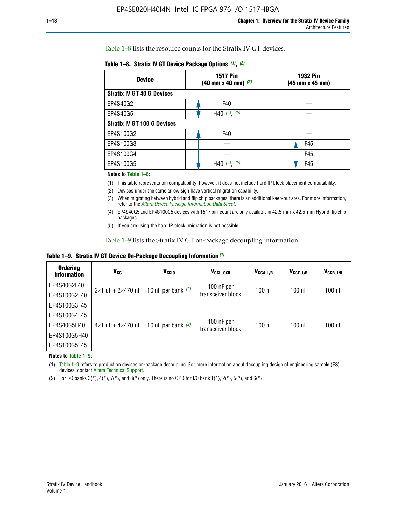Table 1–8 lists the resource counts for the Stratix IV GT devices.

| <b>Device</b>                      | <b>1517 Pin</b><br><b>1932 Pin</b><br>$(40 \text{ mm} \times 40 \text{ mm})$ $(3)$<br>(45 mm x 45 mm) |     |  |
|------------------------------------|-------------------------------------------------------------------------------------------------------|-----|--|
| <b>Stratix IV GT 40 G Devices</b>  |                                                                                                       |     |  |
| EP4S40G2                           | F40                                                                                                   |     |  |
| EP4S40G5                           | H40 $(4)$ , $(5)$                                                                                     |     |  |
| <b>Stratix IV GT 100 G Devices</b> |                                                                                                       |     |  |
| EP4S100G2                          | F40                                                                                                   |     |  |
| EP4S100G3                          |                                                                                                       | F45 |  |
| EP4S100G4                          |                                                                                                       | F45 |  |
| EP4S100G5                          | (5)<br>$(4)$ ,<br>H40                                                                                 | F45 |  |

#### **Notes to Table 1–8:**

(1) This table represents pin compatability; however, it does not include hard IP block placement compatability.

- (2) Devices under the same arrow sign have vertical migration capability.
- (3) When migrating between hybrid and flip chip packages, there is an additional keep-out area. For more information, refer to the *[Altera Device Package Information Data Sheet](http://www.altera.com/literature/ds/dspkg.pdf)*.
- (4) EP4S40G5 and EP4S100G5 devices with 1517 pin-count are only available in 42.5-mm x 42.5-mm Hybrid flip chip packages.
- (5) If you are using the hard IP block, migration is not possible.

Table 1–9 lists the Stratix IV GT on-package decoupling information.

**Table 1–9. Stratix IV GT Device On-Package Decoupling Information** *(1)*

| <b>Ordering</b><br><b>Information</b> | Vcc                                 | <b>V<sub>CCIO</sub></b> | V <sub>CCL GXB</sub>            | V <sub>CCA L/R</sub> | V <sub>CCT L/R</sub> | V <sub>CCR_L/R</sub> |
|---------------------------------------|-------------------------------------|-------------------------|---------------------------------|----------------------|----------------------|----------------------|
| EP4S40G2F40                           | $2 \times 1$ uF + $2 \times 470$ nF | 10 nF per bank $(2)$    | 100 nF per<br>transceiver block | $100$ nF             | $100$ nF             | $100$ nF             |
| EP4S100G2F40                          |                                     |                         |                                 |                      |                      |                      |
| EP4S100G3F45                          |                                     | 10 nF per bank $(2)$    | 100 nF per<br>transceiver block | $100$ nF             | $100$ nF             | $100$ nF             |
| EP4S100G4F45                          |                                     |                         |                                 |                      |                      |                      |
| EP4S40G5H40                           | $4\times1$ uF + $4\times470$ nF     |                         |                                 |                      |                      |                      |
| EP4S100G5H40                          |                                     |                         |                                 |                      |                      |                      |
| EP4S100G5F45                          |                                     |                         |                                 |                      |                      |                      |

**Notes to Table 1–9:**

(1) Table 1–9 refers to production devices on-package decoupling. For more information about decoupling design of engineering sample (ES) devices, contact [Altera Technical Support](http://mysupport.altera.com/eservice/login.asp).

(2) For I/O banks  $3(*)$ ,  $4(*)$ ,  $7(*)$ , and  $8(*)$  only. There is no OPD for I/O bank  $1(*)$ ,  $2(*)$ ,  $5(*)$ , and  $6(*)$ .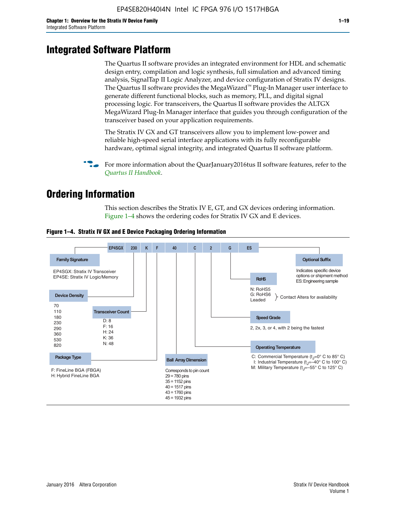# **Integrated Software Platform**

The Quartus II software provides an integrated environment for HDL and schematic design entry, compilation and logic synthesis, full simulation and advanced timing analysis, SignalTap II Logic Analyzer, and device configuration of Stratix IV designs. The Quartus II software provides the MegaWizard<sup> $M$ </sup> Plug-In Manager user interface to generate different functional blocks, such as memory, PLL, and digital signal processing logic. For transceivers, the Quartus II software provides the ALTGX MegaWizard Plug-In Manager interface that guides you through configuration of the transceiver based on your application requirements.

The Stratix IV GX and GT transceivers allow you to implement low-power and reliable high-speed serial interface applications with its fully reconfigurable hardware, optimal signal integrity, and integrated Quartus II software platform.

For more information about the QuarJanuary2016tus II software features, refer to the *[Quartus II Handbook](http://www.altera.com/literature/lit-qts.jsp)*.

# **Ordering Information**

This section describes the Stratix IV E, GT, and GX devices ordering information. Figure 1–4 shows the ordering codes for Stratix IV GX and E devices.



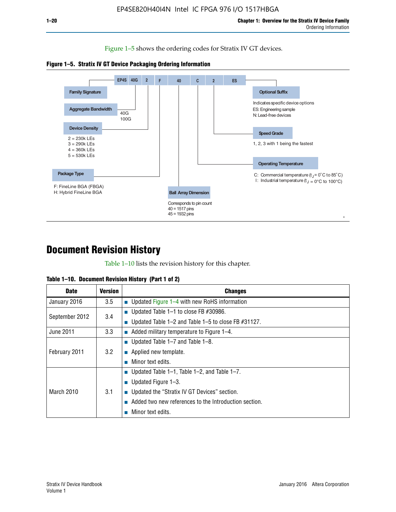Figure 1–5 shows the ordering codes for Stratix IV GT devices.





# **Document Revision History**

Table 1–10 lists the revision history for this chapter.

|  | Table 1–10. Document Revision History (Part 1 of 2) |  |  |
|--|-----------------------------------------------------|--|--|
|--|-----------------------------------------------------|--|--|

| <b>Date</b>       | <b>Version</b> | <b>Changes</b>                                              |
|-------------------|----------------|-------------------------------------------------------------|
| January 2016      | 3.5            | ■ Updated Figure 1–4 with new RoHS information              |
| September 2012    | 3.4            | ■ Updated Table 1–1 to close FB $#30986$ .                  |
|                   |                | Updated Table $1-2$ and Table $1-5$ to close FB $\#31127$ . |
| June 2011         | 3.3            | $\blacksquare$ Added military temperature to Figure 1–4.    |
| February 2011     | 3.2            | ■ Updated Table 1–7 and Table 1–8.                          |
|                   |                | $\blacksquare$ Applied new template.                        |
|                   |                | Minor text edits.                                           |
| <b>March 2010</b> |                | <b>Updated Table 1–1, Table 1–2, and Table 1–7.</b>         |
|                   | 3.1            | <b>U</b> Updated Figure 1–3.                                |
|                   |                | ■ Updated the "Stratix IV GT Devices" section.              |
|                   |                | Added two new references to the Introduction section.       |
|                   |                | Minor text edits.                                           |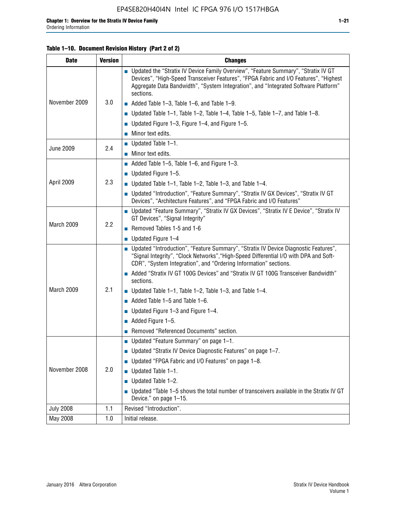#### **Table 1–10. Document Revision History (Part 2 of 2)**

| <b>Date</b>      | <b>Version</b> | <b>Changes</b>                                                                                                                                                                                                                                                                    |  |
|------------------|----------------|-----------------------------------------------------------------------------------------------------------------------------------------------------------------------------------------------------------------------------------------------------------------------------------|--|
|                  |                | ■ Updated the "Stratix IV Device Family Overview", "Feature Summary", "Stratix IV GT<br>Devices", "High-Speed Transceiver Features", "FPGA Fabric and I/O Features", "Highest<br>Aggregate Data Bandwidth", "System Integration", and "Integrated Software Platform"<br>sections. |  |
| November 2009    | 3.0            | $\blacksquare$ Added Table 1-3, Table 1-6, and Table 1-9.                                                                                                                                                                                                                         |  |
|                  |                | $\blacksquare$ Updated Table 1-1, Table 1-2, Table 1-4, Table 1-5, Table 1-7, and Table 1-8.                                                                                                                                                                                      |  |
|                  |                | ■ Updated Figure 1–3, Figure 1–4, and Figure 1–5.                                                                                                                                                                                                                                 |  |
|                  |                | $\blacksquare$ Minor text edits.                                                                                                                                                                                                                                                  |  |
|                  | 2.4            | $\blacksquare$ Updated Table 1-1.                                                                                                                                                                                                                                                 |  |
| <b>June 2009</b> |                | $\blacksquare$ Minor text edits.                                                                                                                                                                                                                                                  |  |
|                  |                | $\blacksquare$ Added Table 1-5, Table 1-6, and Figure 1-3.                                                                                                                                                                                                                        |  |
|                  |                | $\blacksquare$ Updated Figure 1-5.                                                                                                                                                                                                                                                |  |
| April 2009       | 2.3            | ■ Updated Table 1–1, Table 1–2, Table 1–3, and Table 1–4.                                                                                                                                                                                                                         |  |
|                  |                | ■ Updated "Introduction", "Feature Summary", "Stratix IV GX Devices", "Stratix IV GT<br>Devices", "Architecture Features", and "FPGA Fabric and I/O Features"                                                                                                                     |  |
|                  | 2.2            | ■ Updated "Feature Summary", "Stratix IV GX Devices", "Stratix IV E Device", "Stratix IV<br>GT Devices", "Signal Integrity"                                                                                                                                                       |  |
| March 2009       |                | Removed Tables 1-5 and 1-6                                                                                                                                                                                                                                                        |  |
|                  |                | $\blacksquare$ Updated Figure 1-4                                                                                                                                                                                                                                                 |  |
|                  |                | ■ Updated "Introduction", "Feature Summary", "Stratix IV Device Diagnostic Features",<br>"Signal Integrity", "Clock Networks", "High-Speed Differential I/O with DPA and Soft-<br>CDR", "System Integration", and "Ordering Information" sections.                                |  |
|                  |                | ■ Added "Stratix IV GT 100G Devices" and "Stratix IV GT 100G Transceiver Bandwidth"<br>sections.                                                                                                                                                                                  |  |
| March 2009       | 2.1            | ■ Updated Table 1–1, Table 1–2, Table 1–3, and Table 1–4.                                                                                                                                                                                                                         |  |
|                  |                | $\blacksquare$ Added Table 1-5 and Table 1-6.                                                                                                                                                                                                                                     |  |
|                  |                | ■ Updated Figure $1-3$ and Figure $1-4$ .                                                                                                                                                                                                                                         |  |
|                  |                | $\blacksquare$ Added Figure 1-5.                                                                                                                                                                                                                                                  |  |
|                  |                | Removed "Referenced Documents" section.                                                                                                                                                                                                                                           |  |
|                  |                | Updated "Feature Summary" on page 1-1.                                                                                                                                                                                                                                            |  |
| November 2008    | 2.0            | ■ Updated "Stratix IV Device Diagnostic Features" on page 1-7.                                                                                                                                                                                                                    |  |
|                  |                | Updated "FPGA Fabric and I/O Features" on page 1-8.                                                                                                                                                                                                                               |  |
|                  |                | Updated Table 1-1.                                                                                                                                                                                                                                                                |  |
|                  |                | Updated Table 1-2.<br>П                                                                                                                                                                                                                                                           |  |
|                  |                | Updated "Table 1-5 shows the total number of transceivers available in the Stratix IV GT<br>Device." on page 1-15.                                                                                                                                                                |  |
| <b>July 2008</b> | 1.1            | Revised "Introduction".                                                                                                                                                                                                                                                           |  |
| May 2008         | 1.0            | Initial release.                                                                                                                                                                                                                                                                  |  |